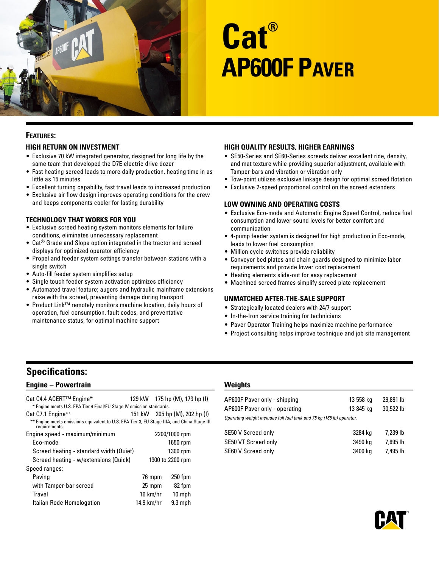

# **Cat® AP600F Paver**

### **Features:**

#### **High Return on Investment**

- Exclusive 70 kW integrated generator, designed for long life by the same team that developed the D7E electric drive dozer
- Fast heating screed leads to more daily production, heating time in as little as 15 minutes
- Excellent turning capability, fast travel leads to increased production
- Exclusive air flow design improves operating conditions for the crew and keeps components cooler for lasting durability

#### **Technology That Works for You**

- Exclusive screed heating system monitors elements for failure conditions, eliminates unnecessary replacement
- Cat® Grade and Slope option integrated in the tractor and screed displays for optimized operator efficiency
- Propel and feeder system settings transfer between stations with a single switch
- Auto-fill feeder system simplifies setup
- Single touch feeder system activation optimizes efficiency
- Automated travel feature; augers and hydraulic mainframe extensions raise with the screed, preventing damage during transport
- Product Link™ remotely monitors machine location, daily hours of operation, fuel consumption, fault codes, and preventative maintenance status, for optimal machine support

#### **High Quality Results, Higher Earnings**

- SE50-Series and SE60-Series screeds deliver excellent ride, density, and mat texture while providing superior adjustment, available with Tamper-bars and vibration or vibration only
- Tow-point utilizes exclusive linkage design for optimal screed flotation
- Exclusive 2-speed proportional control on the screed extenders

#### **Low Owning and Operating Costs**

- Exclusive Eco-mode and Automatic Engine Speed Control, reduce fuel consumption and lower sound levels for better comfort and communication
- 4-pump feeder system is designed for high production in Eco-mode, leads to lower fuel consumption
- Million cycle switches provide reliability
- Conveyor bed plates and chain guards designed to minimize labor requirements and provide lower cost replacement
- Heating elements slide-out for easy replacement
- Machined screed frames simplify screed plate replacement

#### **Unmatched After-the-Sale Support**

- Strategically located dealers with 24/7 support
- In-the-Iron service training for technicians
- Paver Operator Training helps maximize machine performance
- Project consulting helps improve technique and job site management

# **Specifications:**

#### **Engine – Powertrain**

| Cat C4.4 ACERT™ Engine*<br>* Engine meets U.S. EPA Tier 4 Final/EU Stage IV emission standards.              | 129 kW 175 hp (M), 173 hp (I) |                  |  |
|--------------------------------------------------------------------------------------------------------------|-------------------------------|------------------|--|
| Cat C7.1 Engine**                                                                                            | 151 kW 205 hp (M), 202 hp (I) |                  |  |
| ** Engine meets emissions equivalent to U.S. EPA Tier 3, EU Stage IIIA, and China Stage III<br>requirements. |                               |                  |  |
| Engine speed - maximum/minimum                                                                               |                               | 2200/1000 rpm    |  |
| Eco-mode                                                                                                     |                               | 1650 rpm         |  |
| Screed heating - standard width (Quiet)                                                                      |                               | 1300 rpm         |  |
| Screed heating - w/extensions (Quick)                                                                        |                               | 1300 to 2200 rpm |  |
| Speed ranges:                                                                                                |                               |                  |  |
| Paving                                                                                                       | 76 mpm                        | 250 fpm          |  |
| with Tamper-bar screed                                                                                       | 25 mpm                        | 82 fpm           |  |
| Travel                                                                                                       | 16 km/hr                      | 10 mph           |  |
| Italian Rode Homologation                                                                                    | 14.9 km/hr                    | $9.3$ mph        |  |

#### **Weights**

| AP600F Paver only - shipping                                          | 13 558 kg | 29,891 lb |
|-----------------------------------------------------------------------|-----------|-----------|
| AP600F Paver only - operating                                         | 13 845 kg | 30,522 lb |
| Operating weight includes full fuel tank and 75 kg (165 lb) operator. |           |           |
| SE50 V Screed only                                                    | 3284 kg   | 7.239 lb  |
| SE50 VT Screed only                                                   | 3490 kg   | 7,695 lb  |

SE60 V Screed only 3400 kg 7,495 lb